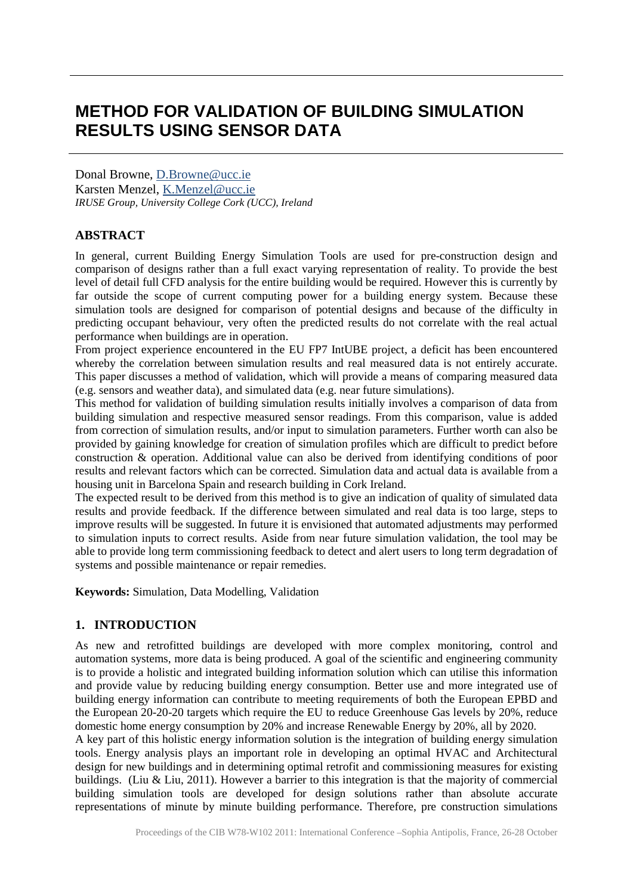# **METHOD FOR VALIDATION OF BUILDING SIMULATION RESULTS USING SENSOR DATA**

Donal Browne, [D.Browne@ucc.ie](mailto:D.Browne@ucc.ie) Karsten Menzel, [K.Menzel@ucc.ie](mailto:K.Menzel@ucc.ie) *IRUSE Group, University College Cork (UCC), Ireland*

## **ABSTRACT**

In general, current Building Energy Simulation Tools are used for pre-construction design and comparison of designs rather than a full exact varying representation of reality. To provide the best level of detail full CFD analysis for the entire building would be required. However this is currently by far outside the scope of current computing power for a building energy system. Because these simulation tools are designed for comparison of potential designs and because of the difficulty in predicting occupant behaviour, very often the predicted results do not correlate with the real actual performance when buildings are in operation.

From project experience encountered in the EU FP7 IntUBE project, a deficit has been encountered whereby the correlation between simulation results and real measured data is not entirely accurate. This paper discusses a method of validation, which will provide a means of comparing measured data (e.g. sensors and weather data), and simulated data (e.g. near future simulations).

This method for validation of building simulation results initially involves a comparison of data from building simulation and respective measured sensor readings. From this comparison, value is added from correction of simulation results, and/or input to simulation parameters. Further worth can also be provided by gaining knowledge for creation of simulation profiles which are difficult to predict before construction & operation. Additional value can also be derived from identifying conditions of poor results and relevant factors which can be corrected. Simulation data and actual data is available from a housing unit in Barcelona Spain and research building in Cork Ireland.

The expected result to be derived from this method is to give an indication of quality of simulated data results and provide feedback. If the difference between simulated and real data is too large, steps to improve results will be suggested. In future it is envisioned that automated adjustments may performed to simulation inputs to correct results. Aside from near future simulation validation, the tool may be able to provide long term commissioning feedback to detect and alert users to long term degradation of systems and possible maintenance or repair remedies.

**Keywords:** Simulation, Data Modelling, Validation

## **1. INTRODUCTION**

As new and retrofitted buildings are developed with more complex monitoring, control and automation systems, more data is being produced. A goal of the scientific and engineering community is to provide a holistic and integrated building information solution which can utilise this information and provide value by reducing building energy consumption. Better use and more integrated use of building energy information can contribute to meeting requirements of both the European EPBD and the European 20-20-20 targets which require the EU to reduce Greenhouse Gas levels by 20%, reduce domestic home energy consumption by 20% and increase Renewable Energy by 20%, all by 2020.

A key part of this holistic energy information solution is the integration of building energy simulation tools. Energy analysis plays an important role in developing an optimal HVAC and Architectural design for new buildings and in determining optimal retrofit and commissioning measures for existing buildings. (Liu & Liu, 2011). However a barrier to this integration is that the majority of commercial building simulation tools are developed for design solutions rather than absolute accurate representations of minute by minute building performance. Therefore, pre construction simulations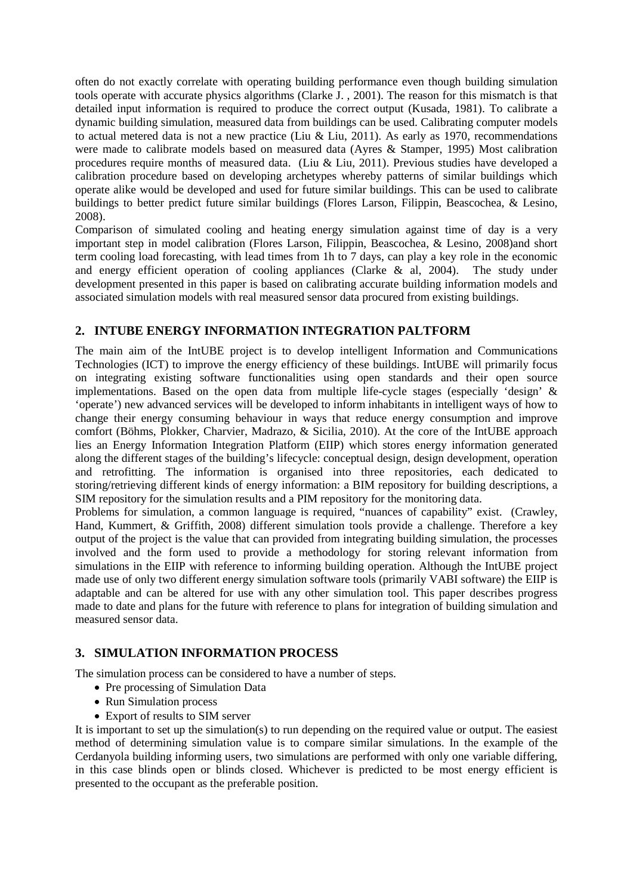often do not exactly correlate with operating building performance even though building simulation tools operate with accurate physics algorithms (Clarke J. , 2001). The reason for this mismatch is that detailed input information is required to produce the correct output (Kusada, 1981). To calibrate a dynamic building simulation, measured data from buildings can be used. Calibrating computer models to actual metered data is not a new practice (Liu & Liu, 2011). As early as 1970, recommendations were made to calibrate models based on measured data (Ayres & Stamper, 1995) Most calibration procedures require months of measured data. (Liu & Liu, 2011). Previous studies have developed a calibration procedure based on developing archetypes whereby patterns of similar buildings which operate alike would be developed and used for future similar buildings. This can be used to calibrate buildings to better predict future similar buildings (Flores Larson, Filippin, Beascochea, & Lesino, 2008).

Comparison of simulated cooling and heating energy simulation against time of day is a very important step in model calibration (Flores Larson, Filippin, Beascochea, & Lesino, 2008)and short term cooling load forecasting, with lead times from 1h to 7 days, can play a key role in the economic and energy efficient operation of cooling appliances (Clarke & al, 2004). The study under development presented in this paper is based on calibrating accurate building information models and associated simulation models with real measured sensor data procured from existing buildings.

# **2. INTUBE ENERGY INFORMATION INTEGRATION PALTFORM**

The main aim of the IntUBE project is to develop intelligent Information and Communications Technologies (ICT) to improve the energy efficiency of these buildings. IntUBE will primarily focus on integrating existing software functionalities using open standards and their open source implementations. Based on the open data from multiple life-cycle stages (especially 'design' & 'operate') new advanced services will be developed to inform inhabitants in intelligent ways of how to change their energy consuming behaviour in ways that reduce energy consumption and improve comfort (Böhms, Plokker, Charvier, Madrazo, & Sicilia, 2010). At the core of the IntUBE approach lies an Energy Information Integration Platform (EIIP) which stores energy information generated along the different stages of the building's lifecycle: conceptual design, design development, operation and retrofitting. The information is organised into three repositories, each dedicated to storing/retrieving different kinds of energy information: a BIM repository for building descriptions, a SIM repository for the simulation results and a PIM repository for the monitoring data.

Problems for simulation, a common language is required, "nuances of capability" exist. (Crawley, Hand, Kummert, & Griffith, 2008) different simulation tools provide a challenge. Therefore a key output of the project is the value that can provided from integrating building simulation, the processes involved and the form used to provide a methodology for storing relevant information from simulations in the EIIP with reference to informing building operation. Although the IntUBE project made use of only two different energy simulation software tools (primarily VABI software) the EIIP is adaptable and can be altered for use with any other simulation tool. This paper describes progress made to date and plans for the future with reference to plans for integration of building simulation and measured sensor data.

## **3. SIMULATION INFORMATION PROCESS**

The simulation process can be considered to have a number of steps.

- Pre processing of Simulation Data
- Run Simulation process
- Export of results to SIM server

It is important to set up the simulation(s) to run depending on the required value or output. The easiest method of determining simulation value is to compare similar simulations. In the example of the Cerdanyola building informing users, two simulations are performed with only one variable differing, in this case blinds open or blinds closed. Whichever is predicted to be most energy efficient is presented to the occupant as the preferable position.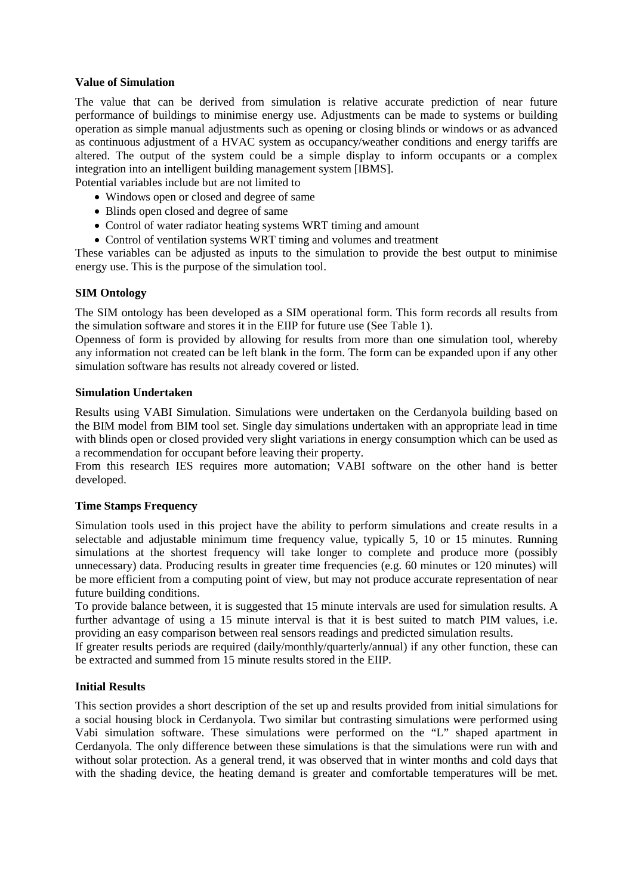#### **Value of Simulation**

The value that can be derived from simulation is relative accurate prediction of near future performance of buildings to minimise energy use. Adjustments can be made to systems or building operation as simple manual adjustments such as opening or closing blinds or windows or as advanced as continuous adjustment of a HVAC system as occupancy/weather conditions and energy tariffs are altered. The output of the system could be a simple display to inform occupants or a complex integration into an intelligent building management system [IBMS].

Potential variables include but are not limited to

- Windows open or closed and degree of same
- Blinds open closed and degree of same
- Control of water radiator heating systems WRT timing and amount
- Control of ventilation systems WRT timing and volumes and treatment

These variables can be adjusted as inputs to the simulation to provide the best output to minimise energy use. This is the purpose of the simulation tool.

#### **SIM Ontology**

The SIM ontology has been developed as a SIM operational form. This form records all results from the simulation software and stores it in the EIIP for future use (See Table 1).

Openness of form is provided by allowing for results from more than one simulation tool, whereby any information not created can be left blank in the form. The form can be expanded upon if any other simulation software has results not already covered or listed.

#### **Simulation Undertaken**

Results using VABI Simulation. Simulations were undertaken on the Cerdanyola building based on the BIM model from BIM tool set. Single day simulations undertaken with an appropriate lead in time with blinds open or closed provided very slight variations in energy consumption which can be used as a recommendation for occupant before leaving their property.

From this research IES requires more automation; VABI software on the other hand is better developed.

#### **Time Stamps Frequency**

Simulation tools used in this project have the ability to perform simulations and create results in a selectable and adjustable minimum time frequency value, typically 5, 10 or 15 minutes. Running simulations at the shortest frequency will take longer to complete and produce more (possibly unnecessary) data. Producing results in greater time frequencies (e.g. 60 minutes or 120 minutes) will be more efficient from a computing point of view, but may not produce accurate representation of near future building conditions.

To provide balance between, it is suggested that 15 minute intervals are used for simulation results. A further advantage of using a 15 minute interval is that it is best suited to match PIM values, i.e. providing an easy comparison between real sensors readings and predicted simulation results.

If greater results periods are required (daily/monthly/quarterly/annual) if any other function, these can be extracted and summed from 15 minute results stored in the EIIP.

#### **Initial Results**

This section provides a short description of the set up and results provided from initial simulations for a social housing block in Cerdanyola. Two similar but contrasting simulations were performed using Vabi simulation software. These simulations were performed on the "L" shaped apartment in Cerdanyola. The only difference between these simulations is that the simulations were run with and without solar protection. As a general trend, it was observed that in winter months and cold days that with the shading device, the heating demand is greater and comfortable temperatures will be met.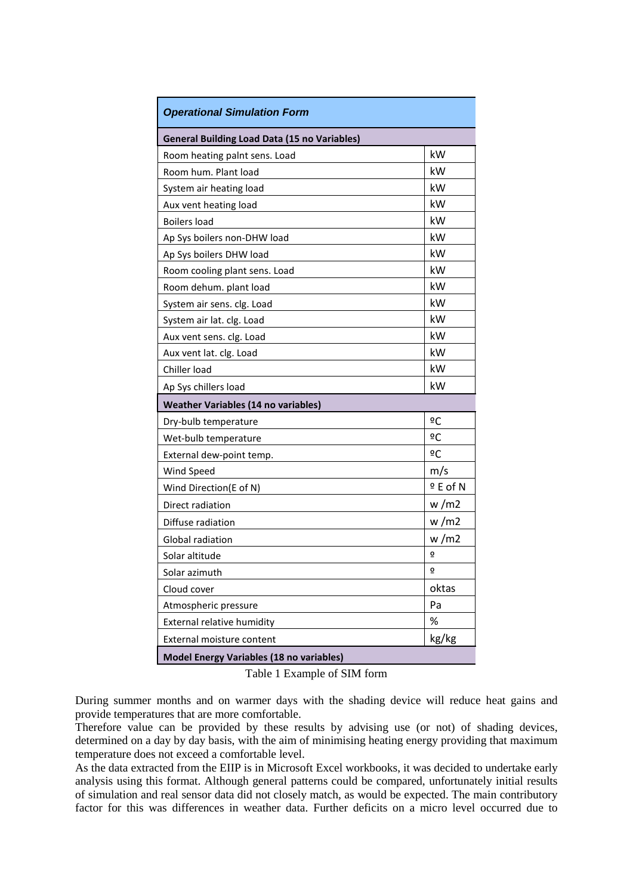| <b>Operational Simulation Form</b>                  |           |
|-----------------------------------------------------|-----------|
| <b>General Building Load Data (15 no Variables)</b> |           |
| Room heating paint sens. Load                       | kW        |
| Room hum. Plant load                                | kW        |
| System air heating load                             | kW        |
| Aux vent heating load                               | kW        |
| <b>Boilers load</b>                                 | kW        |
| Ap Sys boilers non-DHW load                         | kW        |
| Ap Sys boilers DHW load                             | kW        |
| Room cooling plant sens. Load                       | kW        |
| Room dehum. plant load                              | kW        |
| System air sens. clg. Load                          | kW        |
| System air lat. clg. Load                           | kW        |
| Aux vent sens. clg. Load                            | kW        |
| Aux vent lat. clg. Load                             | kW        |
| Chiller load                                        | kW        |
| Ap Sys chillers load                                | kW        |
| <b>Weather Variables (14 no variables)</b>          |           |
| Dry-bulb temperature                                | ºC        |
| Wet-bulb temperature                                | ºC        |
| External dew-point temp.                            | ºC        |
| Wind Speed                                          | m/s       |
| Wind Direction(E of N)                              | $9E$ of N |
| Direct radiation                                    | w/m2      |
| Diffuse radiation                                   | w/m2      |
| <b>Global radiation</b>                             | w/m2      |
| Solar altitude                                      | ō         |
| Solar azimuth                                       | ō         |
| Cloud cover                                         | oktas     |
| Atmospheric pressure                                | Pa        |
| External relative humidity                          | %         |
| External moisture content                           | kg/kg     |
| <b>Model Energy Variables (18 no variables)</b>     |           |

Table 1 Example of SIM form

During summer months and on warmer days with the shading device will reduce heat gains and provide temperatures that are more comfortable.

Therefore value can be provided by these results by advising use (or not) of shading devices, determined on a day by day basis, with the aim of minimising heating energy providing that maximum temperature does not exceed a comfortable level.

As the data extracted from the EIIP is in Microsoft Excel workbooks, it was decided to undertake early analysis using this format. Although general patterns could be compared, unfortunately initial results of simulation and real sensor data did not closely match, as would be expected. The main contributory factor for this was differences in weather data. Further deficits on a micro level occurred due to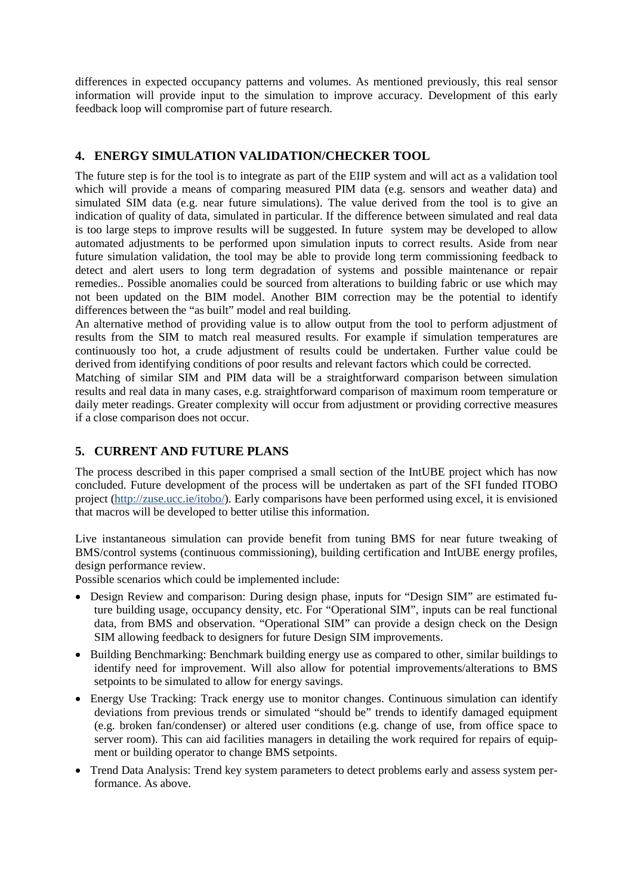differences in expected occupancy patterns and volumes. As mentioned previously, this real sensor information will provide input to the simulation to improve accuracy. Development of this early feedback loop will compromise part of future research.

# **4. ENERGY SIMULATION VALIDATION/CHECKER TOOL**

The future step is for the tool is to integrate as part of the EIIP system and will act as a validation tool which will provide a means of comparing measured PIM data (e.g. sensors and weather data) and simulated SIM data (e.g. near future simulations). The value derived from the tool is to give an indication of quality of data, simulated in particular. If the difference between simulated and real data is too large steps to improve results will be suggested. In future system may be developed to allow automated adjustments to be performed upon simulation inputs to correct results. Aside from near future simulation validation, the tool may be able to provide long term commissioning feedback to detect and alert users to long term degradation of systems and possible maintenance or repair remedies.. Possible anomalies could be sourced from alterations to building fabric or use which may not been updated on the BIM model. Another BIM correction may be the potential to identify differences between the "as built" model and real building.

An alternative method of providing value is to allow output from the tool to perform adjustment of results from the SIM to match real measured results. For example if simulation temperatures are continuously too hot, a crude adjustment of results could be undertaken. Further value could be derived from identifying conditions of poor results and relevant factors which could be corrected.

Matching of similar SIM and PIM data will be a straightforward comparison between simulation results and real data in many cases, e.g. straightforward comparison of maximum room temperature or daily meter readings. Greater complexity will occur from adjustment or providing corrective measures if a close comparison does not occur.

# **5. CURRENT AND FUTURE PLANS**

The process described in this paper comprised a small section of the IntUBE project which has now concluded. Future development of the process will be undertaken as part of the SFI funded ITOBO project [\(http://zuse.ucc.ie/itobo/\)](http://zuse.ucc.ie/itobo/). Early comparisons have been performed using excel, it is envisioned that macros will be developed to better utilise this information.

Live instantaneous simulation can provide benefit from tuning BMS for near future tweaking of BMS/control systems (continuous commissioning), building certification and IntUBE energy profiles, design performance review.

Possible scenarios which could be implemented include:

- Design Review and comparison: During design phase, inputs for "Design SIM" are estimated future building usage, occupancy density, etc. For "Operational SIM", inputs can be real functional data, from BMS and observation. "Operational SIM" can provide a design check on the Design SIM allowing feedback to designers for future Design SIM improvements.
- Building Benchmarking: Benchmark building energy use as compared to other, similar buildings to identify need for improvement. Will also allow for potential improvements/alterations to BMS setpoints to be simulated to allow for energy savings.
- Energy Use Tracking: Track energy use to monitor changes. Continuous simulation can identify deviations from previous trends or simulated "should be" trends to identify damaged equipment (e.g. broken fan/condenser) or altered user conditions (e.g. change of use, from office space to server room). This can aid facilities managers in detailing the work required for repairs of equipment or building operator to change BMS setpoints.
- Trend Data Analysis: Trend key system parameters to detect problems early and assess system performance. As above.